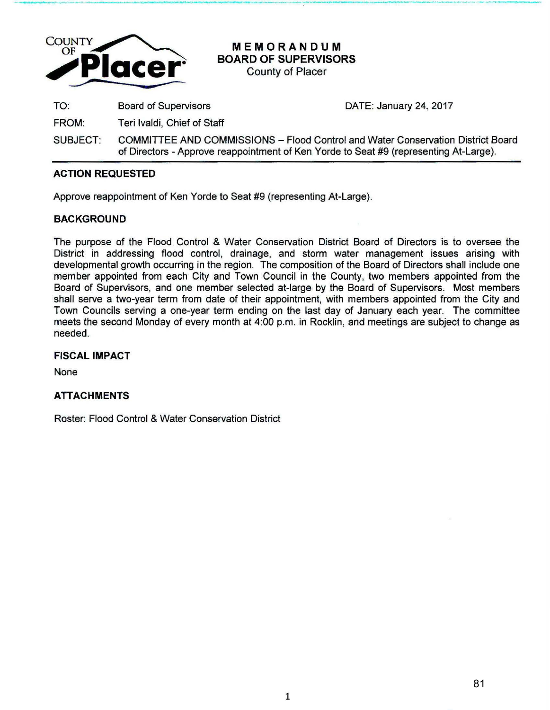

**MEMORANDUM BOARD OF SUPERVISORS**  County of Placer

**- ----·-· ...... - . ..,..,\_ . ... ,\_, \_.P' \_\_** ---**...** --- --.....-... **...............** -~- **.. - .. ,..-** ... .. < .... -·

TO: Board of Supervisors DATE: January 24, 2017

FROM: Teri lvaldi, Chief of Staff

SUBJECT: COMMIITEE AND COMMISSIONS- Flood Control and Water Conservation District Board of Directors- Approve reappointment of Ken Yarde to Seat #9 (representing At-Large).

# **ACTION REQUESTED**

Approve reappointment of Ken Yarde to Seat #9 (representing At-Large).

# **BACKGROUND**

The purpose of the Flood Control & Water Conservation District Board of Directors is to oversee the District in addressing flood control, drainage, and storm water management issues arising with developmental growth occurring in the region. The composition of the Board of Directors shall include one member appointed from each City and Town Council in the County, two members appointed from the Board of Supervisors, and one member selected at-large by the Board of Supervisors. Most members shall serve a two-year term from date of their appointment, with members appointed from the City and Town Councils serving a one-year term ending on the last day of January each year. The committee meets the second Monday of every month at 4:00 p.m. in Rocklin, and meetings are subject to change as needed.

### **FISCAL IMPACT**

None

# **ATTACHMENTS**

Roster: Flood Control & Water Conservation District